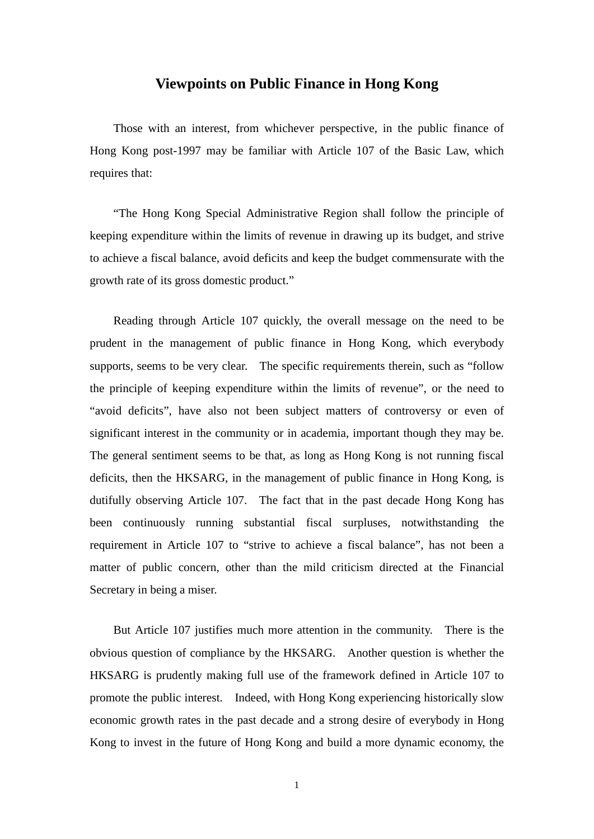### **Viewpoints on Public Finance in Hong Kong**

Those with an interest, from whichever perspective, in the public finance of Hong Kong post-1997 may be familiar with Article 107 of the Basic Law, which requires that:

"The Hong Kong Special Administrative Region shall follow the principle of keeping expenditure within the limits of revenue in drawing up its budget, and strive to achieve a fiscal balance, avoid deficits and keep the budget commensurate with the growth rate of its gross domestic product."

Reading through Article 107 quickly, the overall message on the need to be prudent in the management of public finance in Hong Kong, which everybody supports, seems to be very clear. The specific requirements therein, such as "follow the principle of keeping expenditure within the limits of revenue", or the need to "avoid deficits", have also not been subject matters of controversy or even of significant interest in the community or in academia, important though they may be. The general sentiment seems to be that, as long as Hong Kong is not running fiscal deficits, then the HKSARG, in the management of public finance in Hong Kong, is dutifully observing Article 107. The fact that in the past decade Hong Kong has been continuously running substantial fiscal surpluses, notwithstanding the requirement in Article 107 to "strive to achieve a fiscal balance", has not been a matter of public concern, other than the mild criticism directed at the Financial Secretary in being a miser.

But Article 107 justifies much more attention in the community. There is the obvious question of compliance by the HKSARG. Another question is whether the HKSARG is prudently making full use of the framework defined in Article 107 to promote the public interest. Indeed, with Hong Kong experiencing historically slow economic growth rates in the past decade and a strong desire of everybody in Hong Kong to invest in the future of Hong Kong and build a more dynamic economy, the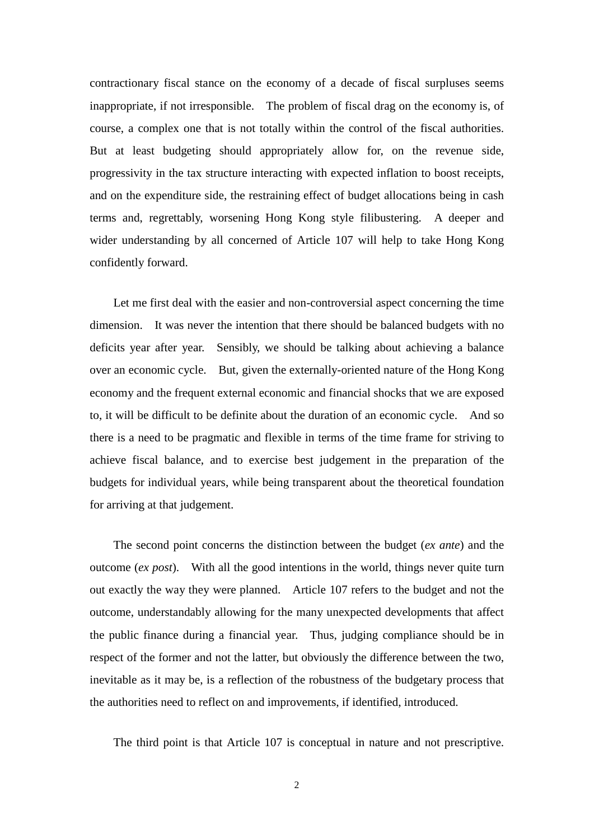contractionary fiscal stance on the economy of a decade of fiscal surpluses seems inappropriate, if not irresponsible. The problem of fiscal drag on the economy is, of course, a complex one that is not totally within the control of the fiscal authorities. But at least budgeting should appropriately allow for, on the revenue side, progressivity in the tax structure interacting with expected inflation to boost receipts, and on the expenditure side, the restraining effect of budget allocations being in cash terms and, regrettably, worsening Hong Kong style filibustering. A deeper and wider understanding by all concerned of Article 107 will help to take Hong Kong confidently forward.

Let me first deal with the easier and non-controversial aspect concerning the time dimension. It was never the intention that there should be balanced budgets with no deficits year after year. Sensibly, we should be talking about achieving a balance over an economic cycle. But, given the externally-oriented nature of the Hong Kong economy and the frequent external economic and financial shocks that we are exposed to, it will be difficult to be definite about the duration of an economic cycle. And so there is a need to be pragmatic and flexible in terms of the time frame for striving to achieve fiscal balance, and to exercise best judgement in the preparation of the budgets for individual years, while being transparent about the theoretical foundation for arriving at that judgement.

The second point concerns the distinction between the budget (*ex ante*) and the outcome (*ex post*). With all the good intentions in the world, things never quite turn out exactly the way they were planned. Article 107 refers to the budget and not the outcome, understandably allowing for the many unexpected developments that affect the public finance during a financial year. Thus, judging compliance should be in respect of the former and not the latter, but obviously the difference between the two, inevitable as it may be, is a reflection of the robustness of the budgetary process that the authorities need to reflect on and improvements, if identified, introduced.

The third point is that Article 107 is conceptual in nature and not prescriptive.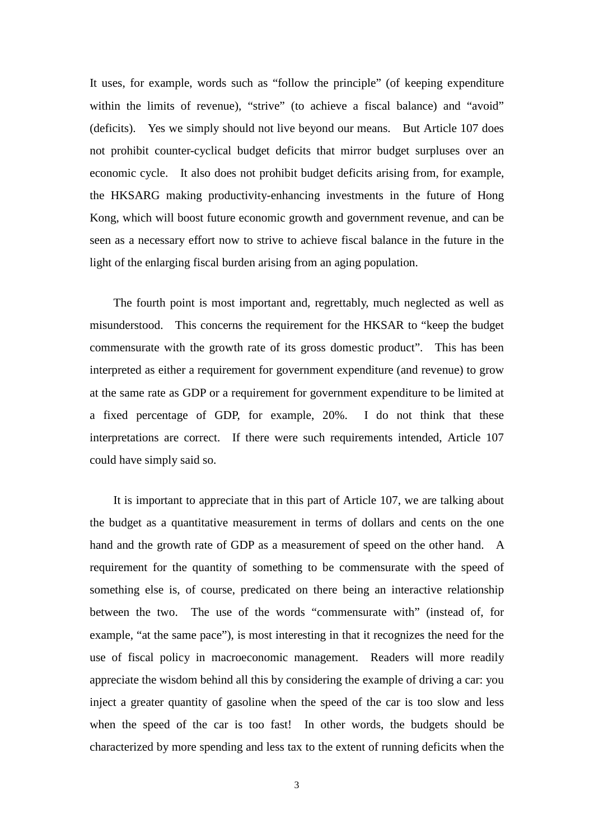It uses, for example, words such as "follow the principle" (of keeping expenditure within the limits of revenue), "strive" (to achieve a fiscal balance) and "avoid" (deficits). Yes we simply should not live beyond our means. But Article 107 does not prohibit counter-cyclical budget deficits that mirror budget surpluses over an economic cycle. It also does not prohibit budget deficits arising from, for example, the HKSARG making productivity-enhancing investments in the future of Hong Kong, which will boost future economic growth and government revenue, and can be seen as a necessary effort now to strive to achieve fiscal balance in the future in the light of the enlarging fiscal burden arising from an aging population.

The fourth point is most important and, regrettably, much neglected as well as misunderstood. This concerns the requirement for the HKSAR to "keep the budget commensurate with the growth rate of its gross domestic product". This has been interpreted as either a requirement for government expenditure (and revenue) to grow at the same rate as GDP or a requirement for government expenditure to be limited at a fixed percentage of GDP, for example, 20%. I do not think that these interpretations are correct. If there were such requirements intended, Article 107 could have simply said so.

It is important to appreciate that in this part of Article 107, we are talking about the budget as a quantitative measurement in terms of dollars and cents on the one hand and the growth rate of GDP as a measurement of speed on the other hand. A requirement for the quantity of something to be commensurate with the speed of something else is, of course, predicated on there being an interactive relationship between the two. The use of the words "commensurate with" (instead of, for example, "at the same pace"), is most interesting in that it recognizes the need for the use of fiscal policy in macroeconomic management. Readers will more readily appreciate the wisdom behind all this by considering the example of driving a car: you inject a greater quantity of gasoline when the speed of the car is too slow and less when the speed of the car is too fast! In other words, the budgets should be characterized by more spending and less tax to the extent of running deficits when the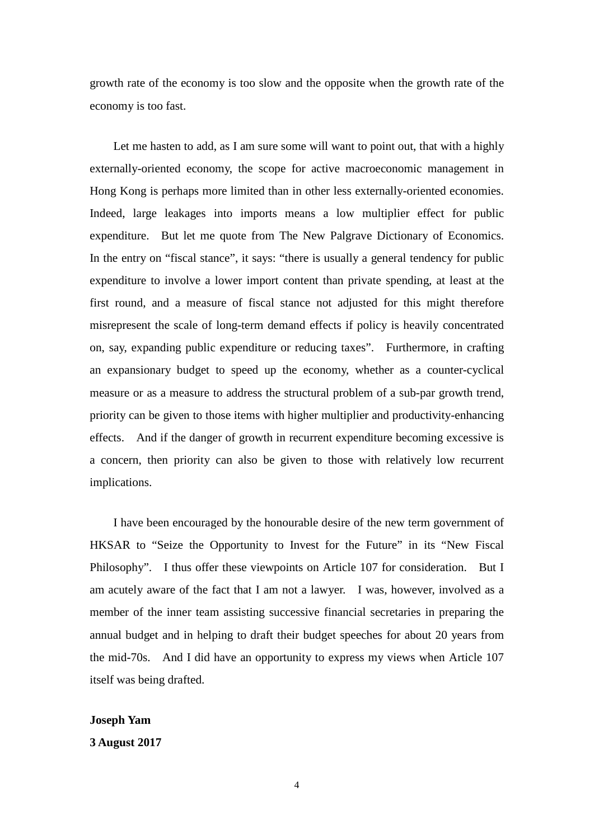growth rate of the economy is too slow and the opposite when the growth rate of the economy is too fast.

Let me hasten to add, as I am sure some will want to point out, that with a highly externally-oriented economy, the scope for active macroeconomic management in Hong Kong is perhaps more limited than in other less externally-oriented economies. Indeed, large leakages into imports means a low multiplier effect for public expenditure. But let me quote from The New Palgrave Dictionary of Economics. In the entry on "fiscal stance", it says: "there is usually a general tendency for public expenditure to involve a lower import content than private spending, at least at the first round, and a measure of fiscal stance not adjusted for this might therefore misrepresent the scale of long-term demand effects if policy is heavily concentrated on, say, expanding public expenditure or reducing taxes". Furthermore, in crafting an expansionary budget to speed up the economy, whether as a counter-cyclical measure or as a measure to address the structural problem of a sub-par growth trend, priority can be given to those items with higher multiplier and productivity-enhancing effects. And if the danger of growth in recurrent expenditure becoming excessive is a concern, then priority can also be given to those with relatively low recurrent implications.

I have been encouraged by the honourable desire of the new term government of HKSAR to "Seize the Opportunity to Invest for the Future" in its "New Fiscal Philosophy". I thus offer these viewpoints on Article 107 for consideration. But I am acutely aware of the fact that I am not a lawyer. I was, however, involved as a member of the inner team assisting successive financial secretaries in preparing the annual budget and in helping to draft their budget speeches for about 20 years from the mid-70s. And I did have an opportunity to express my views when Article 107 itself was being drafted.

### **Joseph Yam**

### **3 August 2017**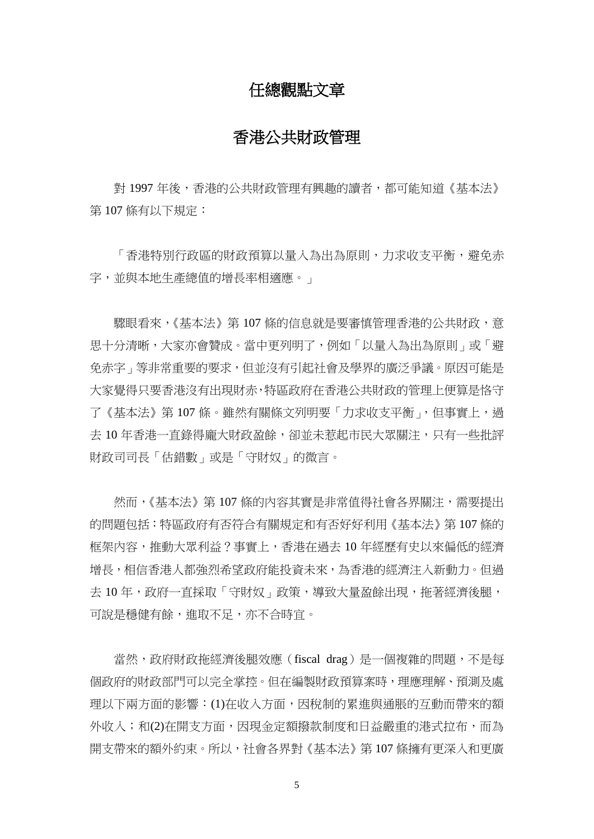## 任總觀點文章

# 香港公共財政管理

對 1997 年後,香港的公共財政管理有興趣的讀者,都可能知道《基本法》 第 107 條有以下規定:

「香港特別行政區的財政預算以量入為出為原則,力求收支平衡,避免赤 字,並與本地生產總值的增長率相適應。」

驟眼看來,《基本法》第107條的信息就是要審慎管理香港的公共財政,意 思十分清晰,大家亦會贊成。當中更列明了,例如「以量入為出為原則」或「避 免赤字」等非常重要的要求,但並沒有引起社會及學界的廣泛爭議。原因可能是 大家覺得只要香港沒有出現財赤,特區政府在香港公共財政的管理上便算是恪守 了《基本法》第 107 條。雖然有關條文列明要「力求收支平衡」,但事實上,過 去 10 年香港一直錄得龐大財政盈餘,卻並未惹起市民大眾關注,只有一些批評 財政司司長「估錯數」或是「守財奴」的微言。

然而,《基本法》第 107 條的內容其實是非常值得社會各界關注,需要提出 的問題包括:特區政府有否符合有關規定和有否好好利用《基本法》第 107 條的 框架內容,推動大眾利益?事實上,香港在過去 10 年經歷有史以來偏低的經濟 增長,相信香港人都強烈希望政府能投資未來,為香港的經濟注入新動力。但過 去 10 年,政府一直採取「守財奴」政策,導致大量盈餘出現,拖著經濟後腿, 可說是穩健有餘,進取不足,亦不合時宜。

當然,政府財政拖經濟後腿效應(fiscal drag)是一個複雜的問題,不是每 個政府的財政部門可以完全掌控。但在編製財政預算案時,理應理解、預測及處 理以下兩方面的影響:(1)在收入方面,因稅制的累進與通脹的互動而帶來的額 外收入;和(2)在開支方面,因現金定額撥款制度和日益嚴重的港式拉布,而為 開支帶來的額外約束。所以,社會各界對《基本法》第 107 條擁有更深入和更廣

5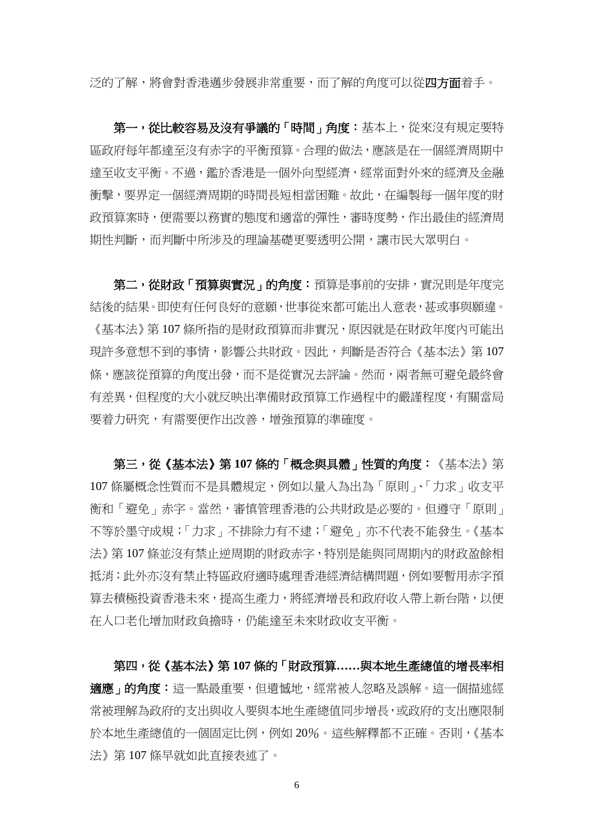泛的了解,將會對香港邁步發展非常重要,而了解的角度可以從四方面着手。

第一,從比較容易及沒有爭議的「時間」角度:基本上,從來沒有規定要特 區政府每年都達至沒有赤字的平衡預算。合理的做法,應該是在一個經濟周期中 達至收支平衡。不過,鑑於香港是一個外向型經濟,經常面對外來的經濟及金融 衝擊,要界定一個經濟周期的時間長短相當困難。故此,在編製每一個年度的財 政預算案時,便需要以務實的態度和適當的彈性,審時度勢,作出最佳的經濟周 期性判斷,而判斷中所涉及的理論基礎更要透明公開,讓市民大眾明白。

第二,從財政「預算與實況」的角度:預算是事前的安排,實況則是年度完 結後的結果。即使有任何良好的意願,世事從來都可能出人意表,甚或事與願違。 《基本法》第 107 條所指的是財政預算而非實況,原因就是在財政年度內可能出 現許多意想不到的事情,影響公共財政。因此,判斷是否符合《基本法》第 107 條,應該從預算的角度出發,而不是從實況去評論。然而,兩者無可避免最終會 有差異,但程度的大小就反映出準備財政預算工作過程中的嚴謹程度,有關當局 要着力研究,有需要便作出改善,增強預算的準確度。

第三,從《基本法》第 **107** 條的「概念與具體」性質的角度︰《基本法》第 107 條屬概念性質而不是具體規定,例如以量入為出為「原則」、「力求」收支平 衡和「避免」赤字。當然,審慎管理香港的公共財政是必要的。但遵守「原則」 不等於墨守成規;「力求」不排除力有不逮;「避免」亦不代表不能發生。《基本 法》第 107 條並沒有禁止逆周期的財政赤字,特別是能與同周期內的財政盈餘相 抵消;此外亦沒有禁止特區政府適時處理香港經濟結構問題,例如要暫用赤字預 算去積極投資香港未來,提高生產力,將經濟增長和政府收入帶上新台階,以便 在人口老化增加財政負擔時,仍能達至未來財政收支平衡。

第四,從《基本法》第 **107** 條的「財政預算**……**與本地生產總值的增長率相 適應」的角度:這一點最重要,但遺憾地,經常被人忽略及誤解。這一個描述經 常被理解為政府的支出與收入要與本地生產總值同步增長,或政府的支出應限制 於本地生產總值的一個固定比例,例如 20%。這些解釋都不正確。否則,《基本 法》第 107 條早就如此直接表述了。

6